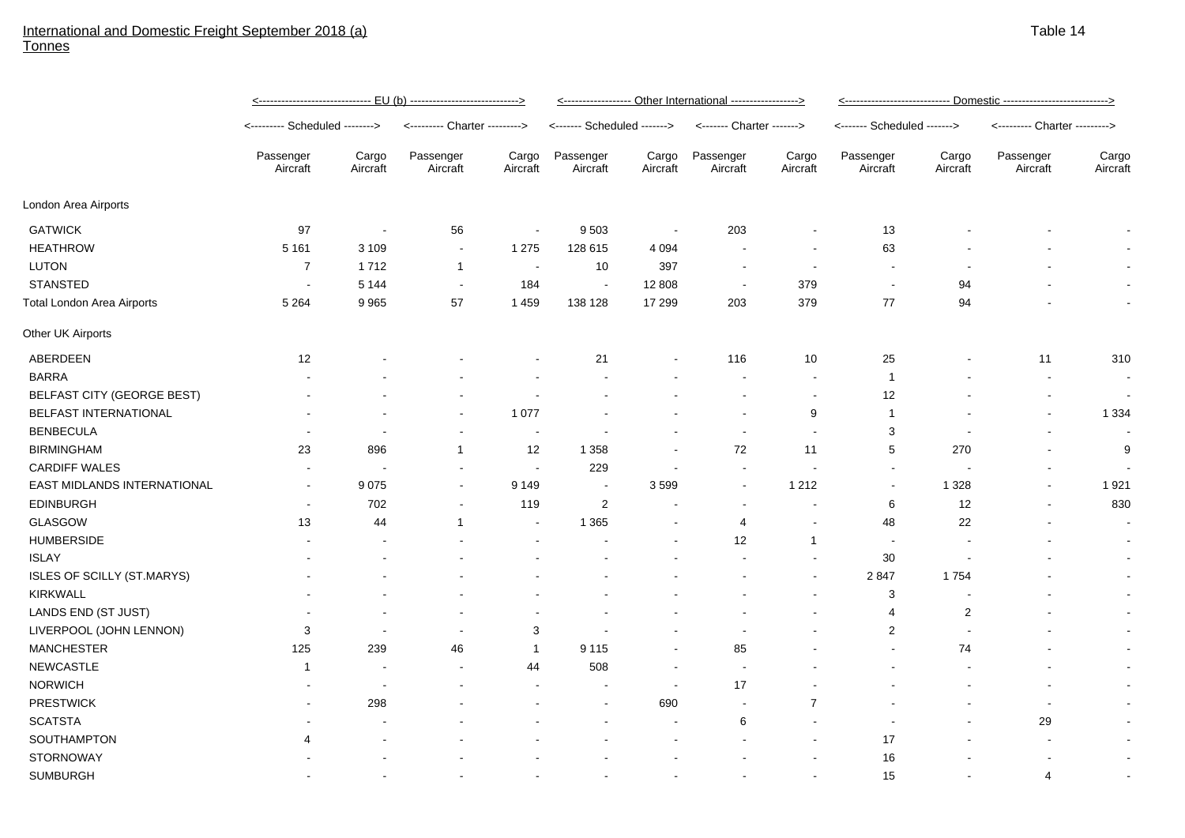## International and Domestic Freight September 2018 (a) Tonnes

|                                   | <u>&lt;------------------------------ EU (b) ---------------------------&gt;</u> |                          |                               |                          | <----------------- Other International -----------------> |                   |                           |                   |                             |                   |                               |                   |
|-----------------------------------|----------------------------------------------------------------------------------|--------------------------|-------------------------------|--------------------------|-----------------------------------------------------------|-------------------|---------------------------|-------------------|-----------------------------|-------------------|-------------------------------|-------------------|
|                                   | <-------- Scheduled -------->                                                    |                          | <--------- Charter ---------> |                          | <------- Scheduled ------->                               |                   | <------- Charter -------> |                   | <------- Scheduled -------> |                   | <--------- Charter ---------> |                   |
|                                   | Passenger<br>Aircraft                                                            | Cargo<br>Aircraft        | Passenger<br>Aircraft         | Cargo<br>Aircraft        | Passenger<br>Aircraft                                     | Cargo<br>Aircraft | Passenger<br>Aircraft     | Cargo<br>Aircraft | Passenger<br>Aircraft       | Cargo<br>Aircraft | Passenger<br>Aircraft         | Cargo<br>Aircraft |
| London Area Airports              |                                                                                  |                          |                               |                          |                                                           |                   |                           |                   |                             |                   |                               |                   |
| <b>GATWICK</b>                    | 97                                                                               | $\overline{\phantom{a}}$ | 56                            | $\overline{\phantom{a}}$ | 9 5 0 3                                                   | $\sim$            | 203                       |                   | 13                          |                   |                               |                   |
| <b>HEATHROW</b>                   | 5 1 6 1                                                                          | 3 1 0 9                  | $\blacksquare$                | 1 2 7 5                  | 128 615                                                   | 4 0 9 4           |                           |                   | 63                          |                   |                               |                   |
| <b>LUTON</b>                      | $\overline{7}$                                                                   | 1712                     | $\mathbf{1}$                  | $\sim$                   | 10                                                        | 397               |                           | $\sim$            |                             |                   |                               |                   |
| <b>STANSTED</b>                   | $\overline{\phantom{a}}$                                                         | 5 1 4 4                  | $\sim$                        | 184                      | $\sim$                                                    | 12 808            | $\sim$                    | 379               | $\overline{a}$              | 94                |                               |                   |
| <b>Total London Area Airports</b> | 5 2 6 4                                                                          | 9 9 6 5                  | 57                            | 1 4 5 9                  | 138 128                                                   | 17 299            | 203                       | 379               | 77                          | 94                |                               | $\blacksquare$    |
| Other UK Airports                 |                                                                                  |                          |                               |                          |                                                           |                   |                           |                   |                             |                   |                               |                   |
| ABERDEEN                          | 12                                                                               |                          |                               |                          | 21                                                        |                   | 116                       | 10 <sup>°</sup>   | 25                          |                   | 11                            | 310               |
| <b>BARRA</b>                      |                                                                                  |                          |                               |                          |                                                           |                   |                           | $\sim$            | $\mathbf{1}$                |                   | $\blacksquare$                | $\blacksquare$    |
| BELFAST CITY (GEORGE BEST)        |                                                                                  |                          |                               |                          |                                                           |                   |                           |                   | 12                          |                   |                               | $\blacksquare$    |
| BELFAST INTERNATIONAL             |                                                                                  |                          |                               | 1 0 7 7                  |                                                           |                   |                           | 9                 | $\mathbf{1}$                |                   |                               | 1 3 3 4           |
| <b>BENBECULA</b>                  |                                                                                  |                          |                               | $\overline{\phantom{a}}$ |                                                           |                   |                           |                   | 3                           |                   |                               | $\blacksquare$    |
| <b>BIRMINGHAM</b>                 | 23                                                                               | 896                      | -1                            | 12                       | 1 3 5 8                                                   |                   | 72                        | 11                | 5                           | 270               |                               | 9                 |
| <b>CARDIFF WALES</b>              |                                                                                  |                          |                               | $\blacksquare$           | 229                                                       |                   | $\overline{\phantom{a}}$  |                   |                             |                   |                               |                   |
| EAST MIDLANDS INTERNATIONAL       |                                                                                  | 9075                     |                               | 9 1 4 9                  | $\blacksquare$                                            | 3599              |                           | 1 2 1 2           |                             | 1 3 2 8           |                               | 1921              |
| <b>EDINBURGH</b>                  |                                                                                  | 702                      | $\blacksquare$                | 119                      | $\overline{c}$                                            |                   |                           |                   | 6                           | 12                |                               | 830               |
| GLASGOW                           | 13                                                                               | 44                       | $\mathbf 1$                   | $\blacksquare$           | 1 3 6 5                                                   |                   | 4                         |                   | 48                          | 22                |                               | $\sim$            |
| <b>HUMBERSIDE</b>                 |                                                                                  |                          |                               |                          |                                                           |                   | 12                        | $\overline{1}$    | $\blacksquare$              |                   |                               |                   |
| <b>ISLAY</b>                      |                                                                                  |                          |                               |                          |                                                           |                   |                           |                   | $30\,$                      |                   |                               |                   |
| ISLES OF SCILLY (ST.MARYS)        |                                                                                  |                          |                               |                          |                                                           |                   |                           |                   | 2847                        | 1754              |                               | $\sim$            |
| KIRKWALL                          |                                                                                  |                          |                               |                          |                                                           |                   |                           |                   | 3                           |                   |                               |                   |
| LANDS END (ST JUST)               |                                                                                  |                          |                               |                          |                                                           |                   |                           |                   | 4                           | $\overline{2}$    |                               |                   |
| LIVERPOOL (JOHN LENNON)           | 3                                                                                | $\overline{\phantom{a}}$ | $\blacksquare$                | 3                        |                                                           |                   |                           |                   | $\overline{2}$              |                   |                               |                   |
| <b>MANCHESTER</b>                 | 125                                                                              | 239                      | 46                            | $\overline{1}$           | 9 1 1 5                                                   |                   | 85                        |                   |                             | 74                |                               |                   |
| <b>NEWCASTLE</b>                  | $\mathbf 1$                                                                      |                          | $\overline{\phantom{a}}$      | 44                       | 508                                                       |                   | $\sim$                    |                   |                             |                   |                               |                   |
| <b>NORWICH</b>                    |                                                                                  |                          |                               |                          |                                                           |                   | 17                        |                   |                             |                   |                               |                   |
| <b>PRESTWICK</b>                  |                                                                                  | 298                      |                               |                          |                                                           | 690               |                           | $\overline{7}$    |                             |                   | $\overline{\phantom{a}}$      |                   |
| <b>SCATSTA</b>                    |                                                                                  |                          |                               |                          |                                                           |                   | 6                         |                   |                             |                   | 29                            |                   |
| SOUTHAMPTON                       | 4                                                                                |                          |                               |                          |                                                           |                   |                           |                   | 17                          |                   |                               |                   |
| <b>STORNOWAY</b>                  |                                                                                  |                          |                               |                          |                                                           |                   |                           |                   | 16                          |                   |                               | $\blacksquare$    |
| <b>SUMBURGH</b>                   |                                                                                  |                          |                               |                          |                                                           |                   |                           |                   | 15                          |                   | 4                             |                   |